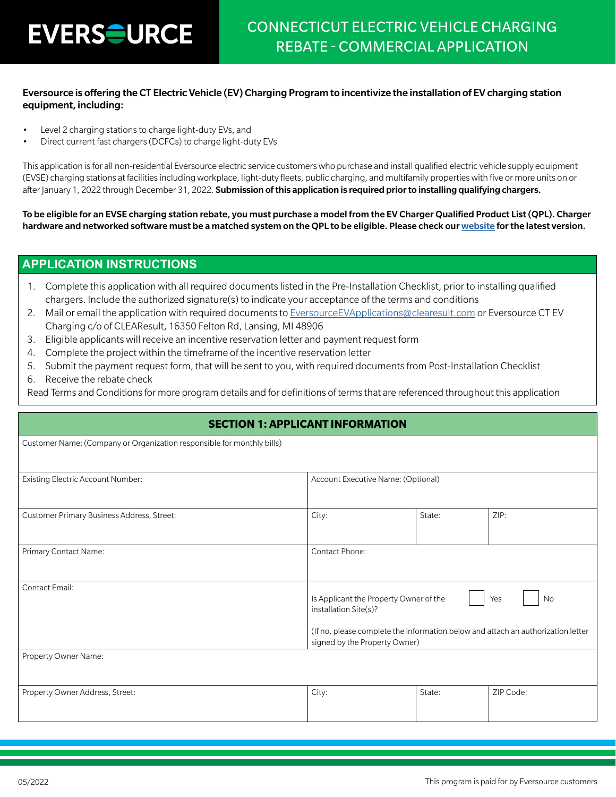#### Eversource is offering the CT Electric Vehicle (EV) Charging Program to incentivize the installation of EV charging station equipment, including:

- Level 2 charging stations to charge light-duty EVs, and
- Direct current fast chargers (DCFCs) to charge light-duty EVs

This application is for all non-residential Eversource electric service customers who purchase and install qualified electric vehicle supply equipment (EVSE) charging stations at facilities including workplace, light-duty fleets, public charging, and multifamily properties with five or more units on or after January 1, 2022 through December 31, 2022. Submission of this application is required prior to installing qualifying chargers.

To be eligible for an EVSE charging station rebate, you must purchase a model from the EV Charger Qualified Product List (QPL). Charger hardware and networked software must be a matched system on the QPL to be eligible. Please check our [website](https://www.eversource.com/content/ct-c/business/save-money-energy/clean-energy-options/business-ev-charging) for the latest version.

#### **APPLICATION INSTRUCTIONS**

- 1. Complete this application with all required documents listed in the Pre-Installation Checklist, prior to installing qualified chargers. Include the authorized signature(s) to indicate your acceptance of the terms and conditions
- 2. Mail or email the application with required documents to [EversourceEVApplications@clearesult.com](mailto:EversourceEVApplications%40clearesult.com?subject=) or Eversource CT EV Charging c/o of CLEAResult, 16350 Felton Rd, Lansing, MI 48906
- 3. Eligible applicants will receive an incentive reservation letter and payment request form
- 4. Complete the project within the timeframe of the incentive reservation letter
- 5. Submit the payment request form, that will be sent to you, with required documents from Post-Installation Checklist
- 6. Receive the rebate check

Read Terms and Conditions for more program details and for definitions of terms that are referenced throughout this application

| <b>SECTION 1: APPLICANT INFORMATION</b>                                |                                                                                                                                                     |        |                  |  |  |  |
|------------------------------------------------------------------------|-----------------------------------------------------------------------------------------------------------------------------------------------------|--------|------------------|--|--|--|
| Customer Name: (Company or Organization responsible for monthly bills) |                                                                                                                                                     |        |                  |  |  |  |
| Existing Electric Account Number:                                      | Account Executive Name: (Optional)                                                                                                                  |        |                  |  |  |  |
| Customer Primary Business Address, Street:                             | City:                                                                                                                                               | State: | ZIP:             |  |  |  |
| Primary Contact Name:                                                  | Contact Phone:                                                                                                                                      |        |                  |  |  |  |
| <b>Contact Email:</b>                                                  | Is Applicant the Property Owner of the<br>installation Site(s)?<br>(If no, please complete the information below and attach an authorization letter |        | <b>No</b><br>Yes |  |  |  |
|                                                                        | signed by the Property Owner)                                                                                                                       |        |                  |  |  |  |
| Property Owner Name:                                                   |                                                                                                                                                     |        |                  |  |  |  |
| Property Owner Address, Street:                                        | City:                                                                                                                                               | State: | ZIP Code:        |  |  |  |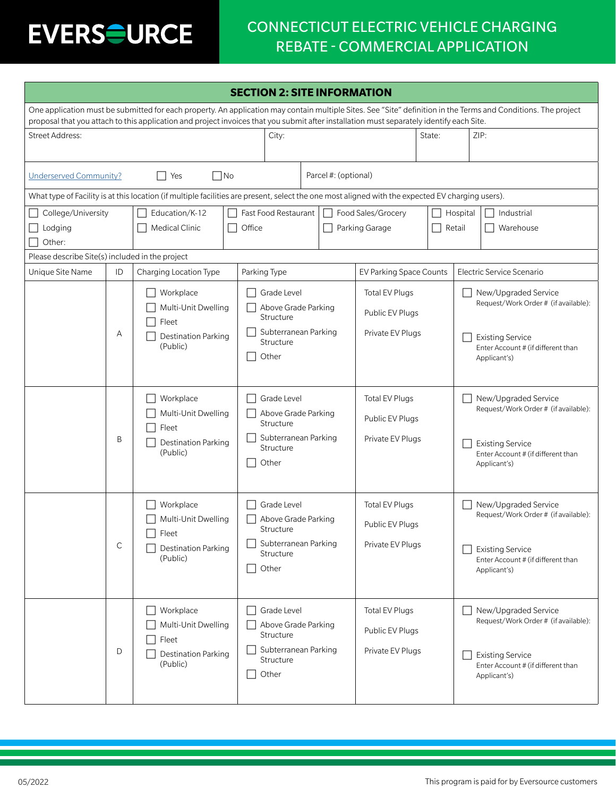## CONNECTICUT ELECTRIC VEHICLE CHARGING REBATE - COMMERCIAL APPLICATION

| <b>SECTION 2: SITE INFORMATION</b>                                                                                                                                                                                                                                                                         |              |                                                                                                                                                  |                                                                                               |        |                                                    |                                                              |  |      |                                                                                                                                               |
|------------------------------------------------------------------------------------------------------------------------------------------------------------------------------------------------------------------------------------------------------------------------------------------------------------|--------------|--------------------------------------------------------------------------------------------------------------------------------------------------|-----------------------------------------------------------------------------------------------|--------|----------------------------------------------------|--------------------------------------------------------------|--|------|-----------------------------------------------------------------------------------------------------------------------------------------------|
| One application must be submitted for each property. An application may contain multiple Sites. See "Site" definition in the Terms and Conditions. The project<br>proposal that you attach to this application and project invoices that you submit after installation must separately identify each Site. |              |                                                                                                                                                  |                                                                                               |        |                                                    |                                                              |  |      |                                                                                                                                               |
| <b>Street Address:</b>                                                                                                                                                                                                                                                                                     |              |                                                                                                                                                  | City:                                                                                         | State: |                                                    |                                                              |  | ZIP: |                                                                                                                                               |
| <b>Underserved Community?</b>                                                                                                                                                                                                                                                                              |              | $\Box$ No<br>l Yes                                                                                                                               |                                                                                               |        | Parcel #: (optional)                               |                                                              |  |      |                                                                                                                                               |
|                                                                                                                                                                                                                                                                                                            |              | What type of Facility is at this location (if multiple facilities are present, select the one most aligned with the expected EV charging users). |                                                                                               |        |                                                    |                                                              |  |      |                                                                                                                                               |
| College/University<br>Education/K-12<br>Medical Clinic<br>Lodging<br>$\overline{\phantom{a}}$<br>Other:                                                                                                                                                                                                    |              | Fast Food Restaurant<br>Food Sales/Grocery<br>Office<br>Parking Garage                                                                           |                                                                                               |        | Hospital<br>Industrial<br>Retail<br>Warehouse      |                                                              |  |      |                                                                                                                                               |
| Please describe Site(s) included in the project                                                                                                                                                                                                                                                            |              |                                                                                                                                                  |                                                                                               |        |                                                    |                                                              |  |      |                                                                                                                                               |
| Unique Site Name                                                                                                                                                                                                                                                                                           | ID           | Charging Location Type                                                                                                                           | Parking Type                                                                                  |        |                                                    | <b>EV Parking Space Counts</b>                               |  |      | Electric Service Scenario                                                                                                                     |
|                                                                                                                                                                                                                                                                                                            | Α            | Workplace<br>Multi-Unit Dwelling<br>Fleet<br><b>Destination Parking</b>                                                                          | Grade Level<br>Above Grade Parking<br>Structure<br>Subterranean Parking                       |        |                                                    | <b>Total EV Plugs</b><br>Public EV Plugs<br>Private EV Plugs |  |      | New/Upgraded Service<br>Request/Work Order # (if available):<br><b>Existing Service</b>                                                       |
| Structure<br>(Public)<br>Other                                                                                                                                                                                                                                                                             |              |                                                                                                                                                  |                                                                                               |        | Enter Account # (if different than<br>Applicant's) |                                                              |  |      |                                                                                                                                               |
|                                                                                                                                                                                                                                                                                                            | B            | Workplace<br>Multi-Unit Dwelling<br>Fleet<br><b>Destination Parking</b><br>(Public)                                                              | Grade Level<br>Above Grade Parking<br>Structure<br>Subterranean Parking<br>Structure<br>Other |        |                                                    | <b>Total EV Plugs</b><br>Public EV Plugs<br>Private EV Plugs |  |      | New/Upgraded Service<br>Request/Work Order # (if available):<br><b>Existing Service</b><br>Enter Account # (if different than<br>Applicant's) |
|                                                                                                                                                                                                                                                                                                            | $\mathsf{C}$ | Workplace<br>Multi-Unit Dwelling<br>$\Box$ Fleet<br><b>Destination Parking</b><br>(Public)                                                       | Grade Level<br>Above Grade Parking<br>Structure<br>Subterranean Parking<br>Structure<br>Other |        |                                                    | Total EV Plugs<br>Public EV Plugs<br>Private EV Plugs        |  |      | New/Upgraded Service<br>Request/Work Order # (if available):<br><b>Existing Service</b><br>Enter Account # (if different than<br>Applicant's) |
|                                                                                                                                                                                                                                                                                                            | D            | Workplace<br>Multi-Unit Dwelling<br>Fleet<br><b>Destination Parking</b><br>(Public)                                                              | Grade Level<br>Above Grade Parking<br>Structure<br>Subterranean Parking<br>Structure<br>Other |        |                                                    | <b>Total EV Plugs</b><br>Public EV Plugs<br>Private EV Plugs |  |      | New/Upgraded Service<br>Request/Work Order # (if available):<br><b>Existing Service</b><br>Enter Account # (if different than<br>Applicant's) |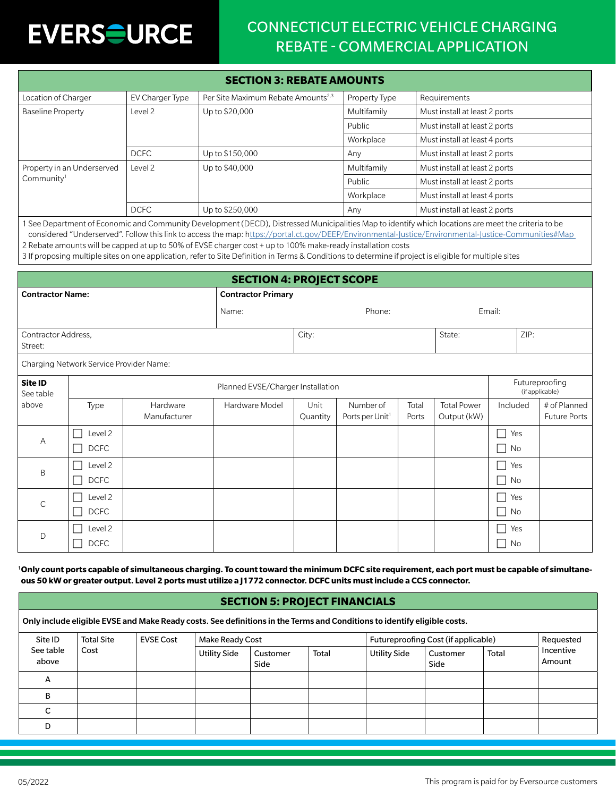## CONNECTICUT ELECTRIC VEHICLE CHARGING REBATE - COMMERCIAL APPLICATION

| <b>SECTION 3: REBATE AMOUNTS</b> |                 |                                                |               |                               |  |  |
|----------------------------------|-----------------|------------------------------------------------|---------------|-------------------------------|--|--|
| Location of Charger              | EV Charger Type | Per Site Maximum Rebate Amounts <sup>2,3</sup> | Property Type | Requirements                  |  |  |
| <b>Baseline Property</b>         | Level 2         | Up to \$20,000                                 | Multifamily   | Must install at least 2 ports |  |  |
|                                  |                 |                                                | Public        | Must install at least 2 ports |  |  |
|                                  |                 |                                                | Workplace     | Must install at least 4 ports |  |  |
|                                  | <b>DCFC</b>     | Up to \$150,000                                | Any           | Must install at least 2 ports |  |  |
| Property in an Underserved       | Level 2         | Up to \$40,000                                 | Multifamily   | Must install at least 2 ports |  |  |
| Community <sup>1</sup>           |                 |                                                | Public        | Must install at least 2 ports |  |  |
|                                  |                 |                                                | Workplace     | Must install at least 4 ports |  |  |
|                                  | <b>DCFC</b>     | Up to \$250,000                                | Any           | Must install at least 2 ports |  |  |

1 See Department of Economic and Community Development (DECD), Distressed Municipalities Map to identify which locations are meet the criteria to be considered "Underserved". Follow this link to access the map: https://portal.ct.gov/DEEP/Environmental-Justice/Environmental-Justice-Communities#Map 2 Rebate amounts will be capped at up to 50% of EVSE charger cost + up to 100% make-ready installation costs

3 If proposing multiple sites on one application, refer to Site Definition in Terms & Conditions to determine if project is eligible for multiple sites

| <b>SECTION 4: PROJECT SCOPE</b> |                                         |                          |                           |                                   |                                          |                |                                   |                                    |                                     |
|---------------------------------|-----------------------------------------|--------------------------|---------------------------|-----------------------------------|------------------------------------------|----------------|-----------------------------------|------------------------------------|-------------------------------------|
| <b>Contractor Name:</b>         |                                         |                          | <b>Contractor Primary</b> |                                   |                                          |                |                                   |                                    |                                     |
| Name:                           |                                         |                          | Phone:                    |                                   |                                          |                | Email:                            |                                    |                                     |
| Contractor Address,<br>Street:  |                                         |                          |                           | State:<br>City:                   |                                          |                | ZIP:                              |                                    |                                     |
|                                 | Charging Network Service Provider Name: |                          |                           |                                   |                                          |                |                                   |                                    |                                     |
| Site ID<br>See table            | Planned EVSE/Charger Installation       |                          |                           | Futureproofing<br>(if applicable) |                                          |                |                                   |                                    |                                     |
| above                           | Type                                    | Hardware<br>Manufacturer | Hardware Model            | Unit<br>Quantity                  | Number of<br>Ports per Unit <sup>1</sup> | Total<br>Ports | <b>Total Power</b><br>Output (kW) | Included                           | # of Planned<br><b>Future Ports</b> |
| А                               | Level 2<br><b>DCFC</b>                  |                          |                           |                                   |                                          |                |                                   | ×.<br>Yes<br>No<br>$\blacksquare$  |                                     |
| B                               | Level 2<br><b>DCFC</b>                  |                          |                           |                                   |                                          |                |                                   | Yes<br>No<br>$\blacksquare$        |                                     |
| $\mathsf{C}$                    | Level 2<br>D CFC                        |                          |                           |                                   |                                          |                |                                   | Yes<br>- 1<br>No<br>$\blacksquare$ |                                     |
| D                               | Level 2<br><b>DCFC</b>                  |                          |                           |                                   |                                          |                |                                   | ٦<br>Yes<br>No<br>×                |                                     |

**1 Only count ports capable of simultaneous charging. To count toward the minimum DCFC site requirement, each port must be capable of simultaneous 50 kW or greater output. Level 2 ports must utilize a J1772 connector. DCFC units must include a CCS connector.**

#### **SECTION 5: PROJECT FINANCIALS**

Only include eligible EVSE and Make Ready costs. See definitions in the Terms and Conditions to identify eligible costs.

| Site ID<br><b>Total Site</b><br><b>EVSE Cost</b> |      | <b>Make Ready Cost</b> |                     |                  | Futureproofing Cost (if applicable) |                     |                  | Requested |                     |
|--------------------------------------------------|------|------------------------|---------------------|------------------|-------------------------------------|---------------------|------------------|-----------|---------------------|
| See table<br>above                               | Cost |                        | <b>Utility Side</b> | Customer<br>Side | Total                               | <b>Utility Side</b> | Customer<br>Side | Total     | Incentive<br>Amount |
| A                                                |      |                        |                     |                  |                                     |                     |                  |           |                     |
| в                                                |      |                        |                     |                  |                                     |                     |                  |           |                     |
|                                                  |      |                        |                     |                  |                                     |                     |                  |           |                     |
| D                                                |      |                        |                     |                  |                                     |                     |                  |           |                     |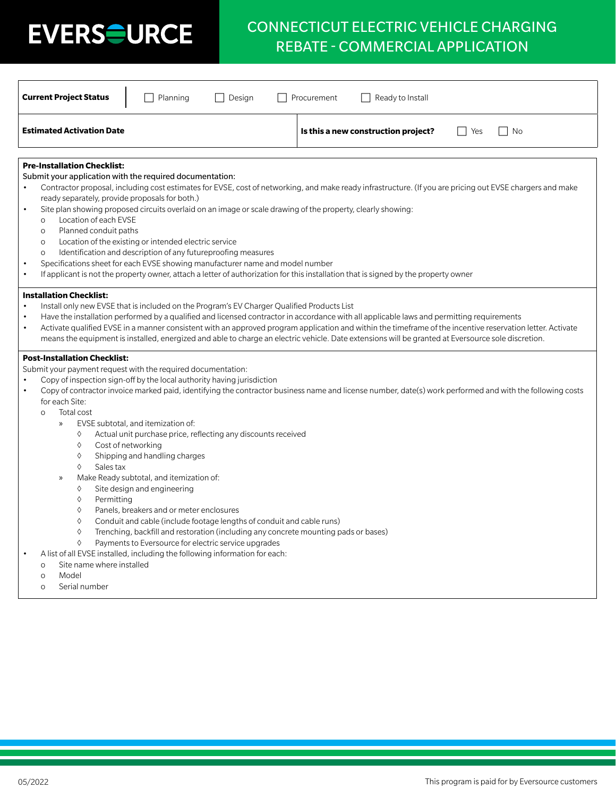## CONNECTICUT ELECTRIC VEHICLE CHARGING REBATE - COMMERCIAL APPLICATION

| <b>Current Project Status</b><br>Planning<br>Design                                                                                                                                                                                                                                                                                                                                                                                                                                                                                                                                                                                                                                                                                                                                                                                                                                                                                                                                                                                                           | Procurement<br>Ready to Install                                                                                                                            |
|---------------------------------------------------------------------------------------------------------------------------------------------------------------------------------------------------------------------------------------------------------------------------------------------------------------------------------------------------------------------------------------------------------------------------------------------------------------------------------------------------------------------------------------------------------------------------------------------------------------------------------------------------------------------------------------------------------------------------------------------------------------------------------------------------------------------------------------------------------------------------------------------------------------------------------------------------------------------------------------------------------------------------------------------------------------|------------------------------------------------------------------------------------------------------------------------------------------------------------|
| <b>Estimated Activation Date</b>                                                                                                                                                                                                                                                                                                                                                                                                                                                                                                                                                                                                                                                                                                                                                                                                                                                                                                                                                                                                                              | Is this a new construction project?<br>$ $   Yes<br>    No                                                                                                 |
| <b>Pre-Installation Checklist:</b><br>Submit your application with the required documentation:<br>ready separately, provide proposals for both.)<br>Site plan showing proposed circuits overlaid on an image or scale drawing of the property, clearly showing:<br>$\bullet$<br>Location of each EVSE<br>$\Omega$<br>Planned conduit paths<br>$\circ$<br>Location of the existing or intended electric service<br>$\circ$<br>Identification and description of any futureproofing measures<br>$\circ$<br>Specifications sheet for each EVSE showing manufacturer name and model number<br>If applicant is not the property owner, attach a letter of authorization for this installation that is signed by the property owner<br>$\bullet$                                                                                                                                                                                                                                                                                                                    | Contractor proposal, including cost estimates for EVSE, cost of networking, and make ready infrastructure. (If you are pricing out EVSE chargers and make  |
| <b>Installation Checklist:</b><br>Install only new EVSE that is included on the Program's EV Charger Qualified Products List<br>Have the installation performed by a qualified and licensed contractor in accordance with all applicable laws and permitting requirements<br>$\bullet$<br>means the equipment is installed, energized and able to charge an electric vehicle. Date extensions will be granted at Eversource sole discretion.                                                                                                                                                                                                                                                                                                                                                                                                                                                                                                                                                                                                                  | Activate qualified EVSE in a manner consistent with an approved program application and within the timeframe of the incentive reservation letter. Activate |
| <b>Post-Installation Checklist:</b><br>Submit your payment request with the required documentation:<br>Copy of inspection sign-off by the local authority having jurisdiction<br>$\bullet$<br>for each Site:<br>Total cost<br>$\circ$<br>EVSE subtotal, and itemization of:<br>$\mathcal{V}$<br>Actual unit purchase price, reflecting any discounts received<br>♦<br>♦<br>Cost of networking<br>♦<br>Shipping and handling charges<br>♦<br>Sales tax<br>Make Ready subtotal, and itemization of:<br>$\mathcal{P}$<br>Site design and engineering<br>♦<br>♦<br>Permitting<br>Panels, breakers and or meter enclosures<br>♦<br>♦<br>Conduit and cable (include footage lengths of conduit and cable runs)<br>$\Diamond$<br>Trenching, backfill and restoration (including any concrete mounting pads or bases)<br>$\Diamond$<br>Payments to Eversource for electric service upgrades<br>A list of all EVSE installed, including the following information for each:<br>Site name where installed<br>$\Omega$<br>Model<br>$\Omega$<br>Serial number<br>$\Omega$ | Copy of contractor invoice marked paid, identifying the contractor business name and license number, date(s) work performed and with the following costs   |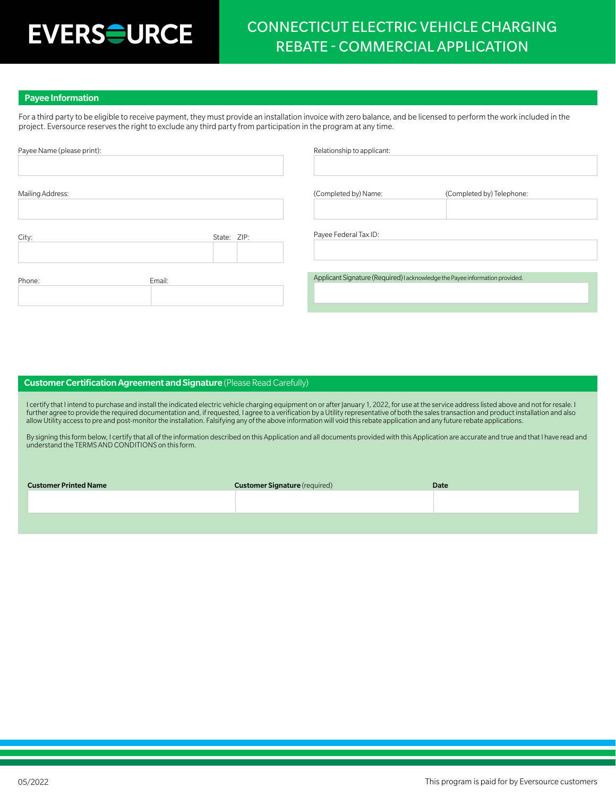## CONNECTICUT ELECTRIC VEHICLE CHARGING REBATE - COMMERCIAL APPLICATION

#### Payee Information

For a third party to be eligible to receive payment, they must provide an installation invoice with zero balance, and be licensed to perform the work included in the project. Eversource reserves the right to exclude any third party from participation in the program at any time.

| Payee Name (please print): |             | Relationship to applicant:                                                   |                           |
|----------------------------|-------------|------------------------------------------------------------------------------|---------------------------|
|                            |             |                                                                              |                           |
|                            |             |                                                                              |                           |
| Mailing Address:           |             | (Completed by) Name:                                                         | (Completed by) Telephone: |
|                            |             |                                                                              |                           |
|                            |             |                                                                              |                           |
| City:                      | State: ZIP: | Payee Federal Tax ID:                                                        |                           |
|                            |             |                                                                              |                           |
|                            |             |                                                                              |                           |
| Phone:                     | Email:      | Applicant Signature (Required) I acknowledge the Payee information provided. |                           |
|                            |             |                                                                              |                           |
|                            |             |                                                                              |                           |

#### Customer Certification Agreement and Signature (Please Read Carefully)

I certify that I intend to purchase and install the indicated electric vehicle charging equipment on or after January 1, 2022, for use at the service address listed above and not for resale. I further agree to provide the required documentation and, if requested, I agree to a verification by a Utility representative of both the sales transaction and product installation and also allow Utility access to pre and post-monitor the installation. Falsifying any of the above information will void this rebate application and any future rebate applications.

By signing this form below, I certify that all of the information described on this Application and all documents provided with this Application are accurate and true and that I have read and understand the TERMS AND CONDITIONS on this form.

| <b>Customer Printed Name</b> | <b>Customer Signature</b> (required) | <b>Date</b> |
|------------------------------|--------------------------------------|-------------|
|                              |                                      |             |
|                              |                                      |             |
|                              |                                      |             |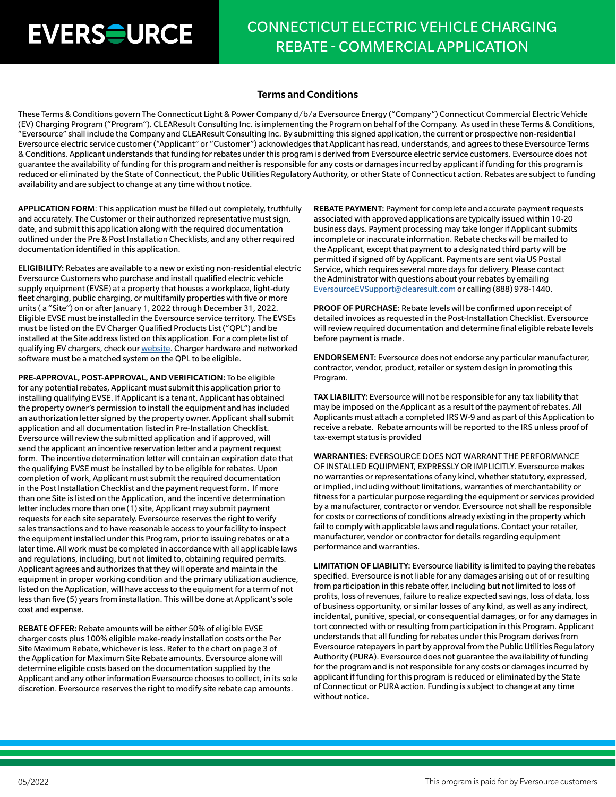## CONNECTICUT ELECTRIC VEHICLE CHARGING REBATE - COMMERCIAL APPLICATION

#### Terms and Conditions

These Terms & Conditions govern The Connecticut Light & Power Company d/b/a Eversource Energy ("Company") Connecticut Commercial Electric Vehicle (EV) Charging Program ("Program"). CLEAResult Consulting Inc. is implementing the Program on behalf of the Company. As used in these Terms & Conditions, "Eversource" shall include the Company and CLEAResult Consulting Inc. By submitting this signed application, the current or prospective non-residential Eversource electric service customer ("Applicant" or "Customer") acknowledges that Applicant has read, understands, and agrees to these Eversource Terms & Conditions. Applicant understands that funding for rebates under this program is derived from Eversource electric service customers. Eversource does not guarantee the availability of funding for this program and neither is responsible for any costs or damages incurred by applicant if funding for this program is reduced or eliminated by the State of Connecticut, the Public Utilities Regulatory Authority, or other State of Connecticut action. Rebates are subject to funding availability and are subject to change at any time without notice.

APPLICATION FORM: This application must be filled out completely, truthfully and accurately. The Customer or their authorized representative must sign, date, and submit this application along with the required documentation outlined under the Pre & Post Installation Checklists, and any other required documentation identified in this application.

ELIGIBILITY: Rebates are available to a new or existing non-residential electric Eversource Customers who purchase and install qualified electric vehicle supply equipment (EVSE) at a property that houses a workplace, light-duty fleet charging, public charging, or multifamily properties with five or more units (a "Site") on or after January 1, 2022 through December 31, 2022. Eligible EVSE must be installed in the Eversource service territory. The EVSEs must be listed on the EV Charger Qualified Products List ("QPL") and be installed at the Site address listed on this application. For a complete list of qualifying EV chargers, check our [website](https://www.eversource.com/content/ct-c/business/save-money-energy/clean-energy-options/business-ev-charging). Charger hardware and networked software must be a matched system on the QPL to be eligible.

PRE-APPROVAL, POST-APPROVAL, AND VERIFICATION: To be eligible for any potential rebates, Applicant must submit this application prior to installing qualifying EVSE. If Applicant is a tenant, Applicant has obtained the property owner's permission to install the equipment and has included an authorization letter signed by the property owner. Applicant shall submit application and all documentation listed in Pre-Installation Checklist. Eversource will review the submitted application and if approved, will send the applicant an incentive reservation letter and a payment request form. The incentive determination letter will contain an expiration date that the qualifying EVSE must be installed by to be eligible for rebates. Upon completion of work, Applicant must submit the required documentation in the Post Installation Checklist and the payment request form. If more than one Site is listed on the Application, and the incentive determination letter includes more than one (1) site, Applicant may submit payment requests for each site separately. Eversource reserves the right to verify sales transactions and to have reasonable access to your facility to inspect the equipment installed under this Program, prior to issuing rebates or at a later time. All work must be completed in accordance with all applicable laws and regulations, including, but not limited to, obtaining required permits. Applicant agrees and authorizes that they will operate and maintain the equipment in proper working condition and the primary utilization audience, listed on the Application, will have access to the equipment for a term of not less than five (5) years from installation. This will be done at Applicant's sole cost and expense.

REBATE OFFER: Rebate amounts will be either 50% of eligible EVSE charger costs plus 100% eligible make-ready installation costs or the Per Site Maximum Rebate, whichever is less. Refer to the chart on page 3 of the Application for Maximum Site Rebate amounts. Eversource alone will determine eligible costs based on the documentation supplied by the Applicant and any other information Eversource chooses to collect, in its sole discretion. Eversource reserves the right to modify site rebate cap amounts.

REBATE PAYMENT: Payment for complete and accurate payment requests associated with approved applications are typically issued within 10-20 business days. Payment processing may take longer if Applicant submits incomplete or inaccurate information. Rebate checks will be mailed to the Applicant, except that payment to a designated third party will be permitted if signed off by Applicant. Payments are sent via US Postal Service, which requires several more days for delivery. Please contact the Administrator with questions about your rebates by emailing [EversourceEVSupport@clearesult.com](mailto:EversourceEVSupport%40clearesult.com?subject=) or calling (888) 978-1440.

PROOF OF PURCHASE: Rebate levels will be confirmed upon receipt of detailed invoices as requested in the Post-Installation Checklist. Eversource will review required documentation and determine final eligible rebate levels before payment is made.

ENDORSEMENT: Eversource does not endorse any particular manufacturer, contractor, vendor, product, retailer or system design in promoting this Program.

TAX LIABILITY: Eversource will not be responsible for any tax liability that may be imposed on the Applicant as a result of the payment of rebates. All Applicants must attach a completed IRS W-9 and as part of this Application to receive a rebate. Rebate amounts will be reported to the IRS unless proof of tax-exempt status is provided

WARRANTIES: EVERSOURCE DOES NOT WARRANT THE PERFORMANCE OF INSTALLED EQUIPMENT, EXPRESSLY OR IMPLICITLY. Eversource makes no warranties or representations of any kind, whether statutory, expressed, or implied, including without limitations, warranties of merchantability or fitness for a particular purpose regarding the equipment or services provided by a manufacturer, contractor or vendor. Eversource not shall be responsible for costs or corrections of conditions already existing in the property which fail to comply with applicable laws and regulations. Contact your retailer, manufacturer, vendor or contractor for details regarding equipment performance and warranties.

LIMITATION OF LIABILITY: Eversource liability is limited to paying the rebates specified. Eversource is not liable for any damages arising out of or resulting from participation in this rebate offer, including but not limited to loss of profits, loss of revenues, failure to realize expected savings, loss of data, loss of business opportunity, or similar losses of any kind, as well as any indirect, incidental, punitive, special, or consequential damages, or for any damages in tort connected with or resulting from participation in this Program. Applicant understands that all funding for rebates under this Program derives from Eversource ratepayers in part by approval from the Public Utilities Regulatory Authority (PURA). Eversource does not guarantee the availability of funding for the program and is not responsible for any costs or damages incurred by applicant if funding for this program is reduced or eliminated by the State of Connecticut or PURA action. Funding is subject to change at any time without notice.